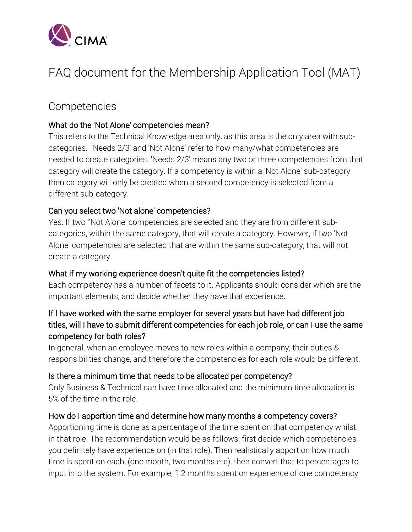

# FAQ document for the Membership Application Tool (MAT)

# Competencies

### What do the 'Not Alone' competencies mean?

This refers to the Technical Knowledge area only, as this area is the only area with subcategories. 'Needs 2/3' and 'Not Alone' refer to how many/what competencies are needed to create categories. 'Needs 2/3' means any two or three competencies from that category will create the category. If a competency is within a 'Not Alone' sub-category then category will only be created when a second competency is selected from a different sub-category.

### Can you select two 'Not alone' competencies?

Yes. If two ''Not Alone' competencies are selected and they are from different subcategories, within the same category, that will create a category. However, if two 'Not Alone' competencies are selected that are within the same sub-category, that will not create a category.

### What if my working experience doesn't quite fit the competencies listed?

Each competency has a number of facets to it. Applicants should consider which are the important elements, and decide whether they have that experience.

### If I have worked with the same employer for several years but have had different job titles, will I have to submit different competencies for each job role, or can I use the same competency for both roles?

In general, when an employee moves to new roles within a company, their duties & responsibilities change, and therefore the competencies for each role would be different.

#### Is there a minimum time that needs to be allocated per competency?

Only Business & Technical can have time allocated and the minimum time allocation is 5% of the time in the role.

#### How do I apportion time and determine how many months a competency covers?

Apportioning time is done as a percentage of the time spent on that competency whilst in that role. The recommendation would be as follows; first decide which competencies you definitely have experience on (in that role). Then realistically apportion how much time is spent on each, (one month, two months etc), then convert that to percentages to input into the system. For example, 1.2 months spent on experience of one competency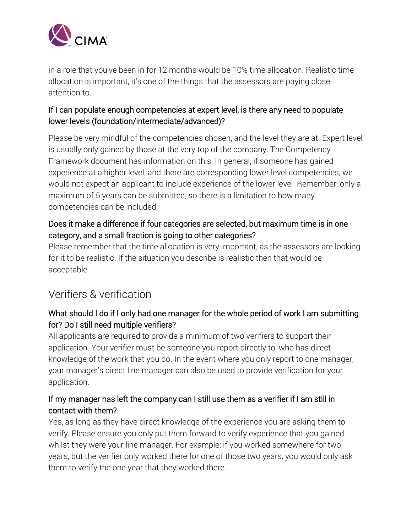

in a role that you've been in for 12 months would be 10% time allocation. Realistic time allocation is important, it's one of the things that the assessors are paying close attention to.

### If I can populate enough competencies at expert level, is there any need to populate lower levels (foundation/intermediate/advanced)?

Please be very mindful of the competencies chosen, and the level they are at. Expert level is usually only gained by those at the very top of the company. The Competency Framework document has information on this. In general, if someone has gained experience at a higher level, and there are corresponding lower level competencies, we would not expect an applicant to include experience of the lower level. Remember, only a maximum of 5 years can be submitted, so there is a limitation to how many competencies can be included.

### Does it make a difference if four categories are selected, but maximum time is in one category, and a small fraction is going to other categories?

Please remember that the time allocation is very important, as the assessors are looking for it to be realistic. If the situation you describe is realistic then that would be acceptable.

# Verifiers & verification

# What should I do if I only had one manager for the whole period of work I am submitting for? Do I still need multiple verifiers?

All applicants are required to provide a minimum of two verifiers to support their application. Your verifier must be someone you report directly to, who has direct knowledge of the work that you do. In the event where you only report to one manager, your manager's direct line manager can also be used to provide verification for your application.

# If my manager has left the company can I still use them as a verifier if I am still in contact with them?

Yes, as long as they have direct knowledge of the experience you are asking them to verify. Please ensure you only put them forward to verify experience that you gained whilst they were your line manager. For example; if you worked somewhere for two years, but the verifier only worked there for one of those two years, you would only ask them to verify the one year that they worked there.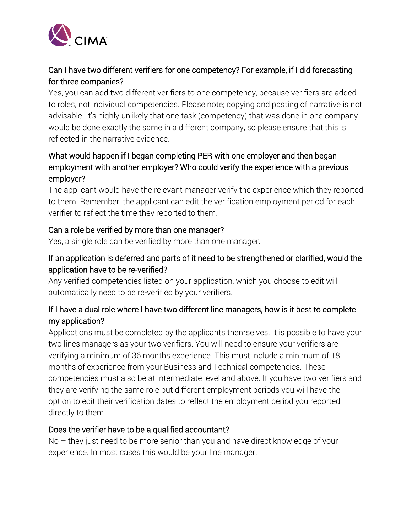

# Can I have two different verifiers for one competency? For example, if I did forecasting for three companies?

Yes, you can add two different verifiers to one competency, because verifiers are added to roles, not individual competencies. Please note; copying and pasting of narrative is not advisable. It's highly unlikely that one task (competency) that was done in one company would be done exactly the same in a different company, so please ensure that this is reflected in the narrative evidence.

# What would happen if I began completing PER with one employer and then began employment with another employer? Who could verify the experience with a previous employer?

The applicant would have the relevant manager verify the experience which they reported to them. Remember, the applicant can edit the verification employment period for each verifier to reflect the time they reported to them.

### Can a role be verified by more than one manager?

Yes, a single role can be verified by more than one manager.

# If an application is deferred and parts of it need to be strengthened or clarified, would the application have to be re-verified?

Any verified competencies listed on your application, which you choose to edit will automatically need to be re-verified by your verifiers.

# If I have a dual role where I have two different line managers, how is it best to complete my application?

Applications must be completed by the applicants themselves. It is possible to have your two lines managers as your two verifiers. You will need to ensure your verifiers are verifying a minimum of 36 months experience. This must include a minimum of 18 months of experience from your Business and Technical competencies. These competencies must also be at intermediate level and above. If you have two verifiers and they are verifying the same role but different employment periods you will have the option to edit their verification dates to reflect the employment period you reported directly to them.

### Does the verifier have to be a qualified accountant?

No – they just need to be more senior than you and have direct knowledge of your experience. In most cases this would be your line manager.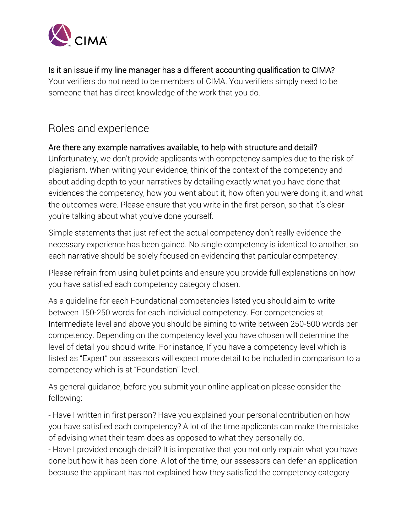

### Is it an issue if my line manager has a different accounting qualification to CIMA?

Your verifiers do not need to be members of CIMA. You verifiers simply need to be someone that has direct knowledge of the work that you do.

# Roles and experience

### Are there any example narratives available, to help with structure and detail?

Unfortunately, we don't provide applicants with competency samples due to the risk of plagiarism. When writing your evidence, think of the context of the competency and about adding depth to your narratives by detailing exactly what you have done that evidences the competency, how you went about it, how often you were doing it, and what the outcomes were. Please ensure that you write in the first person, so that it's clear you're talking about what you've done yourself.

Simple statements that just reflect the actual competency don't really evidence the necessary experience has been gained. No single competency is identical to another, so each narrative should be solely focused on evidencing that particular competency.

Please refrain from using bullet points and ensure you provide full explanations on how you have satisfied each competency category chosen.

As a guideline for each Foundational competencies listed you should aim to write between 150-250 words for each individual competency. For competencies at Intermediate level and above you should be aiming to write between 250-500 words per competency. Depending on the competency level you have chosen will determine the level of detail you should write. For instance, If you have a competency level which is listed as "Expert" our assessors will expect more detail to be included in comparison to a competency which is at "Foundation" level.

As general guidance, before you submit your online application please consider the following:

- Have I written in first person? Have you explained your personal contribution on how you have satisfied each competency? A lot of the time applicants can make the mistake of advising what their team does as opposed to what they personally do.

- Have I provided enough detail? It is imperative that you not only explain what you have done but how it has been done. A lot of the time, our assessors can defer an application because the applicant has not explained how they satisfied the competency category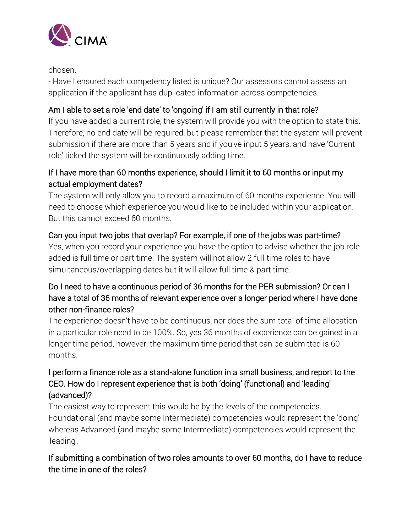

chosen.

- Have I ensured each competency listed is unique? Our assessors cannot assess an application if the applicant has duplicated information across competencies.

# Am I able to set a role 'end date' to 'ongoing' if I am still currently in that role?

If you have added a current role, the system will provide you with the option to state this. Therefore, no end date will be required, but please remember that the system will prevent submission if there are more than 5 years and if you've input 5 years, and have 'Current role' ticked the system will be continuously adding time.

# If I have more than 60 months experience, should I limit it to 60 months or input my actual employment dates?

The system will only allow you to record a maximum of 60 months experience. You will need to choose which experience you would like to be included within your application. But this cannot exceed 60 months.

### Can you input two jobs that overlap? For example, if one of the jobs was part-time?

Yes, when you record your experience you have the option to advise whether the job role added is full time or part time. The system will not allow 2 full time roles to have simultaneous/overlapping dates but it will allow full time & part time.

# Do I need to have a continuous period of 36 months for the PER submission? Or can I have a total of 36 months of relevant experience over a longer period where I have done other non-finance roles?

The experience doesn't have to be continuous, nor does the sum total of time allocation in a particular role need to be 100%. So, yes 36 months of experience can be gained in a longer time period, however, the maximum time period that can be submitted is 60 months.

# I perform a finance role as a stand-alone function in a small business, and report to the CEO. How do I represent experience that is both 'doing' (functional) and 'leading' (advanced)?

The easiest way to represent this would be by the levels of the competencies. Foundational (and maybe some Intermediate) competencies would represent the 'doing' whereas Advanced (and maybe some Intermediate) competencies would represent the 'leading'.

# If submitting a combination of two roles amounts to over 60 months, do I have to reduce the time in one of the roles?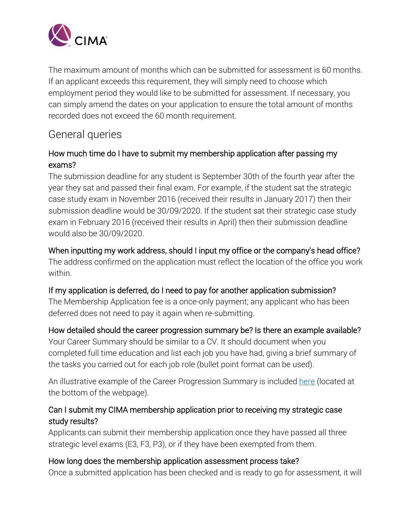

The maximum amount of months which can be submitted for assessment is 60 months. If an applicant exceeds this requirement, they will simply need to choose which employment period they would like to be submitted for assessment. If necessary, you can simply amend the dates on your application to ensure the total amount of months recorded does not exceed the 60 month requirement.

# General queries

### How much time do I have to submit my membership application after passing my exams?

The submission deadline for any student is September 30th of the fourth year after the year they sat and passed their final exam. For example, if the student sat the strategic case study exam in November 2016 (received their results in January 2017) then their submission deadline would be 30/09/2020. If the student sat their strategic case study exam in February 2016 (received their results in April) then their submission deadline would also be 30/09/2020.

### When inputting my work address, should I input my office or the company's head office?

The address confirmed on the application must reflect the location of the office you work within.

### If my application is deferred, do I need to pay for another application submission?

The Membership Application fee is a once-only payment; any applicant who has been deferred does not need to pay it again when re-submitting.

### How detailed should the career progression summary be? Is there an example available?

Your Career Summary should be similar to a CV. It should document when you completed full time education and list each job you have had, giving a brief summary of the tasks you carried out for each job role (bullet point format can be used).

An illustrative example of the Career Progression Summary is included [here](http://www.cimaglobal.com/Studying/Becoming-a-cgma/Practical-experience-requirements/Updated-requirements/Application-and-assessment/) (located at the bottom of the webpage).

### Can I submit my CIMA membership application prior to receiving my strategic case study results?

Applicants can submit their membership application once they have passed all three strategic level exams (E3, F3, P3), or if they have been exempted from them.

### How long does the membership application assessment process take?

Once a submitted application has been checked and is ready to go for assessment, it will